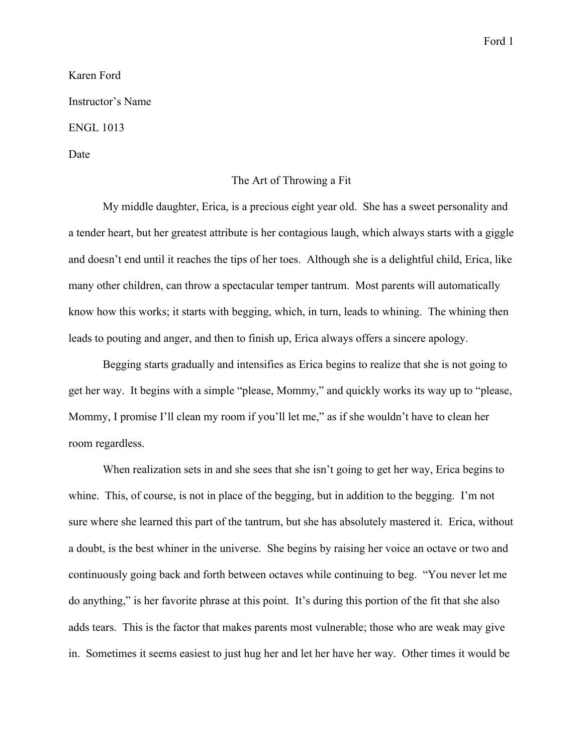Karen Ford Instructor's Name

ENGL 1013

Date

## The Art of Throwing a Fit

My middle daughter, Erica, is a precious eight year old. She has a sweet personality and a tender heart, but her greatest attribute is her contagious laugh, which always starts with a giggle and doesn't end until it reaches the tips of her toes. Although she is a delightful child, Erica, like many other children, can throw a spectacular temper tantrum. Most parents will automatically know how this works; it starts with begging, which, in turn, leads to whining. The whining then leads to pouting and anger, and then to finish up, Erica always offers a sincere apology.

Begging starts gradually and intensifies as Erica begins to realize that she is not going to get her way. It begins with a simple "please, Mommy," and quickly works its way up to "please, Mommy, I promise I'll clean my room if you'll let me," as if she wouldn't have to clean her room regardless.

When realization sets in and she sees that she isn't going to get her way, Erica begins to whine. This, of course, is not in place of the begging, but in addition to the begging. I'm not sure where she learned this part of the tantrum, but she has absolutely mastered it. Erica, without a doubt, is the best whiner in the universe. She begins by raising her voice an octave or two and continuously going back and forth between octaves while continuing to beg. "You never let me do anything," is her favorite phrase at this point. It's during this portion of the fit that she also adds tears. This is the factor that makes parents most vulnerable; those who are weak may give in. Sometimes it seems easiest to just hug her and let her have her way. Other times it would be